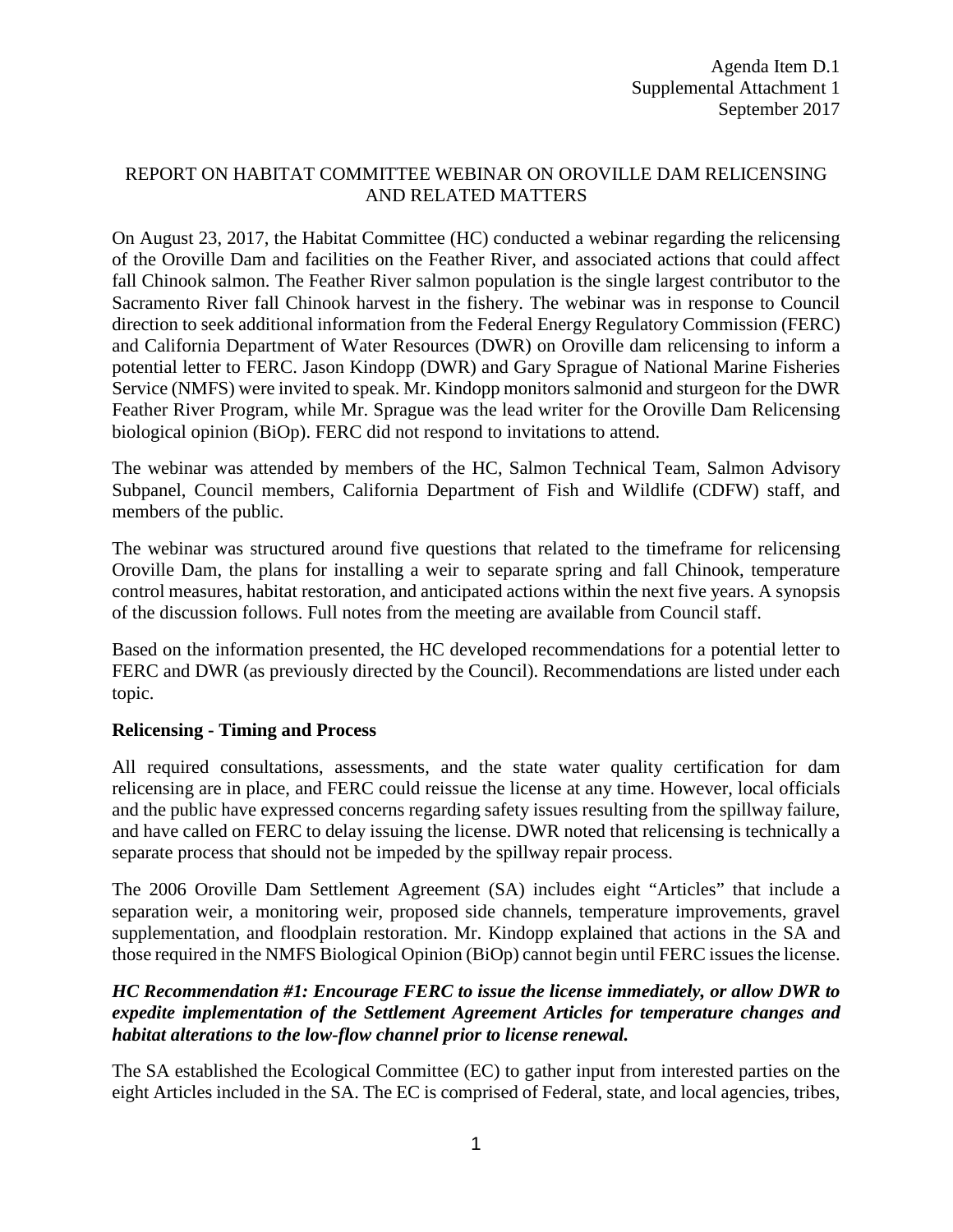# REPORT ON HABITAT COMMITTEE WEBINAR ON OROVILLE DAM RELICENSING AND RELATED MATTERS

On August 23, 2017, the Habitat Committee (HC) conducted a webinar regarding the relicensing of the Oroville Dam and facilities on the Feather River, and associated actions that could affect fall Chinook salmon. The Feather River salmon population is the single largest contributor to the Sacramento River fall Chinook harvest in the fishery. The webinar was in response to Council direction to seek additional information from the Federal Energy Regulatory Commission (FERC) and California Department of Water Resources (DWR) on Oroville dam relicensing to inform a potential letter to FERC. Jason Kindopp (DWR) and Gary Sprague of National Marine Fisheries Service (NMFS) were invited to speak. Mr. Kindopp monitors salmonid and sturgeon for the DWR Feather River Program, while Mr. Sprague was the lead writer for the Oroville Dam Relicensing biological opinion (BiOp). FERC did not respond to invitations to attend.

The webinar was attended by members of the HC, Salmon Technical Team, Salmon Advisory Subpanel, Council members, California Department of Fish and Wildlife (CDFW) staff, and members of the public.

The webinar was structured around five questions that related to the timeframe for relicensing Oroville Dam, the plans for installing a weir to separate spring and fall Chinook, temperature control measures, habitat restoration, and anticipated actions within the next five years. A synopsis of the discussion follows. Full notes from the meeting are available from Council staff.

Based on the information presented, the HC developed recommendations for a potential letter to FERC and DWR (as previously directed by the Council). Recommendations are listed under each topic.

# **Relicensing - Timing and Process**

All required consultations, assessments, and the state water quality certification for dam relicensing are in place, and FERC could reissue the license at any time. However, local officials and the public have expressed concerns regarding safety issues resulting from the spillway failure, and have called on FERC to delay issuing the license. DWR noted that relicensing is technically a separate process that should not be impeded by the spillway repair process.

The 2006 Oroville Dam Settlement Agreement (SA) includes eight "Articles" that include a separation weir, a monitoring weir, proposed side channels, temperature improvements, gravel supplementation, and floodplain restoration. Mr. Kindopp explained that actions in the SA and those required in the NMFS Biological Opinion (BiOp) cannot begin until FERC issues the license.

# *HC Recommendation #1: Encourage FERC to issue the license immediately, or allow DWR to expedite implementation of the Settlement Agreement Articles for temperature changes and habitat alterations to the low-flow channel prior to license renewal.*

The SA established the Ecological Committee (EC) to gather input from interested parties on the eight Articles included in the SA. The EC is comprised of Federal, state, and local agencies, tribes,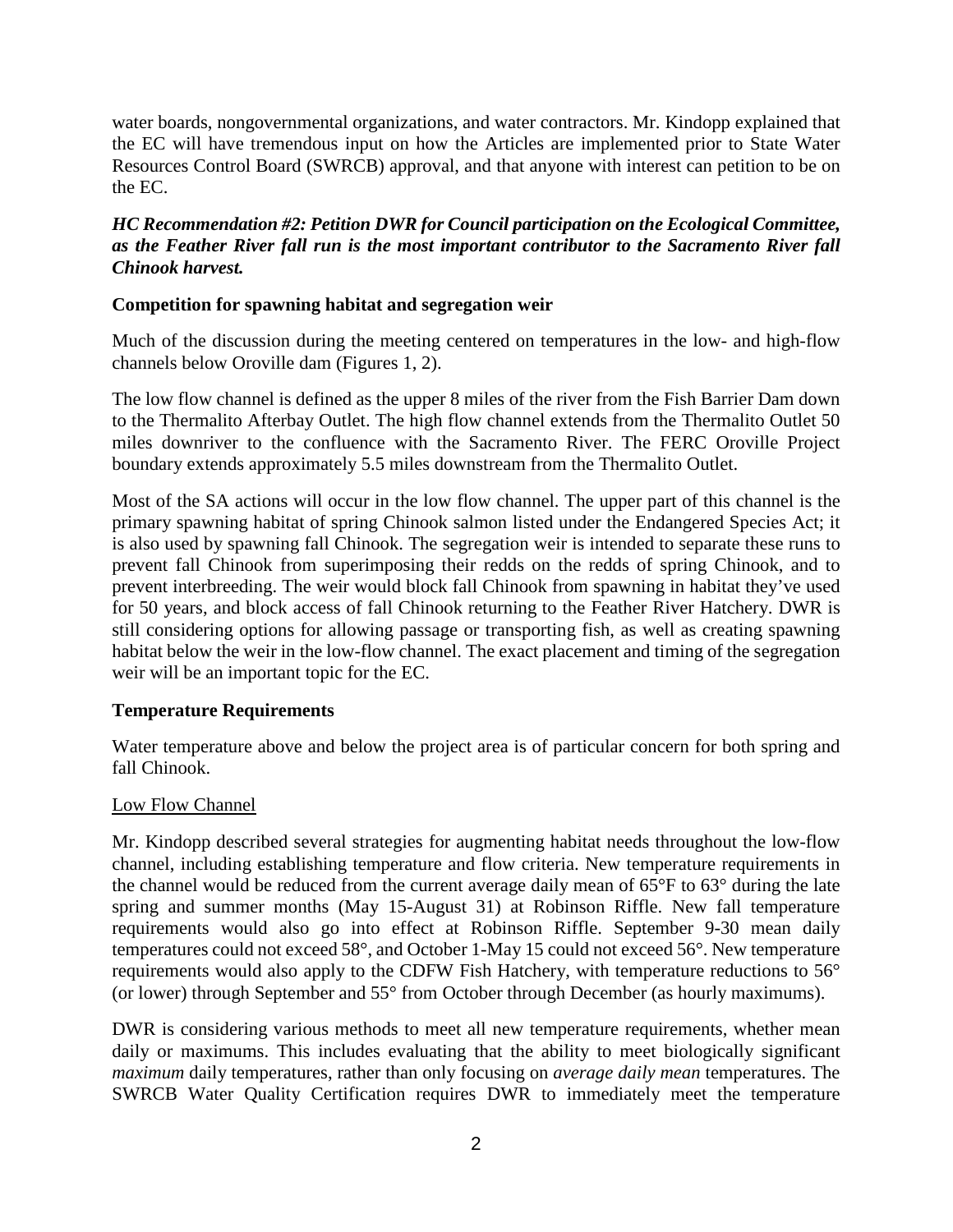water boards, nongovernmental organizations, and water contractors. Mr. Kindopp explained that the EC will have tremendous input on how the Articles are implemented prior to State Water Resources Control Board (SWRCB) approval, and that anyone with interest can petition to be on the EC.

## *HC Recommendation #2: Petition DWR for Council participation on the Ecological Committee, as the Feather River fall run is the most important contributor to the Sacramento River fall Chinook harvest.*

## **Competition for spawning habitat and segregation weir**

Much of the discussion during the meeting centered on temperatures in the low- and high-flow channels below Oroville dam (Figures 1, 2).

The low flow channel is defined as the upper 8 miles of the river from the Fish Barrier Dam down to the Thermalito Afterbay Outlet. The high flow channel extends from the Thermalito Outlet 50 miles downriver to the confluence with the Sacramento River. The FERC Oroville Project boundary extends approximately 5.5 miles downstream from the Thermalito Outlet.

Most of the SA actions will occur in the low flow channel. The upper part of this channel is the primary spawning habitat of spring Chinook salmon listed under the Endangered Species Act; it is also used by spawning fall Chinook. The segregation weir is intended to separate these runs to prevent fall Chinook from superimposing their redds on the redds of spring Chinook, and to prevent interbreeding. The weir would block fall Chinook from spawning in habitat they've used for 50 years, and block access of fall Chinook returning to the Feather River Hatchery. DWR is still considering options for allowing passage or transporting fish, as well as creating spawning habitat below the weir in the low-flow channel. The exact placement and timing of the segregation weir will be an important topic for the EC.

#### **Temperature Requirements**

Water temperature above and below the project area is of particular concern for both spring and fall Chinook.

#### Low Flow Channel

Mr. Kindopp described several strategies for augmenting habitat needs throughout the low-flow channel, including establishing temperature and flow criteria. New temperature requirements in the channel would be reduced from the current average daily mean of 65°F to 63° during the late spring and summer months (May 15-August 31) at Robinson Riffle. New fall temperature requirements would also go into effect at Robinson Riffle. September 9-30 mean daily temperatures could not exceed 58°, and October 1-May 15 could not exceed 56°. New temperature requirements would also apply to the CDFW Fish Hatchery, with temperature reductions to 56° (or lower) through September and 55° from October through December (as hourly maximums).

DWR is considering various methods to meet all new temperature requirements, whether mean daily or maximums. This includes evaluating that the ability to meet biologically significant *maximum* daily temperatures, rather than only focusing on *average daily mean* temperatures. The SWRCB Water Quality Certification requires DWR to immediately meet the temperature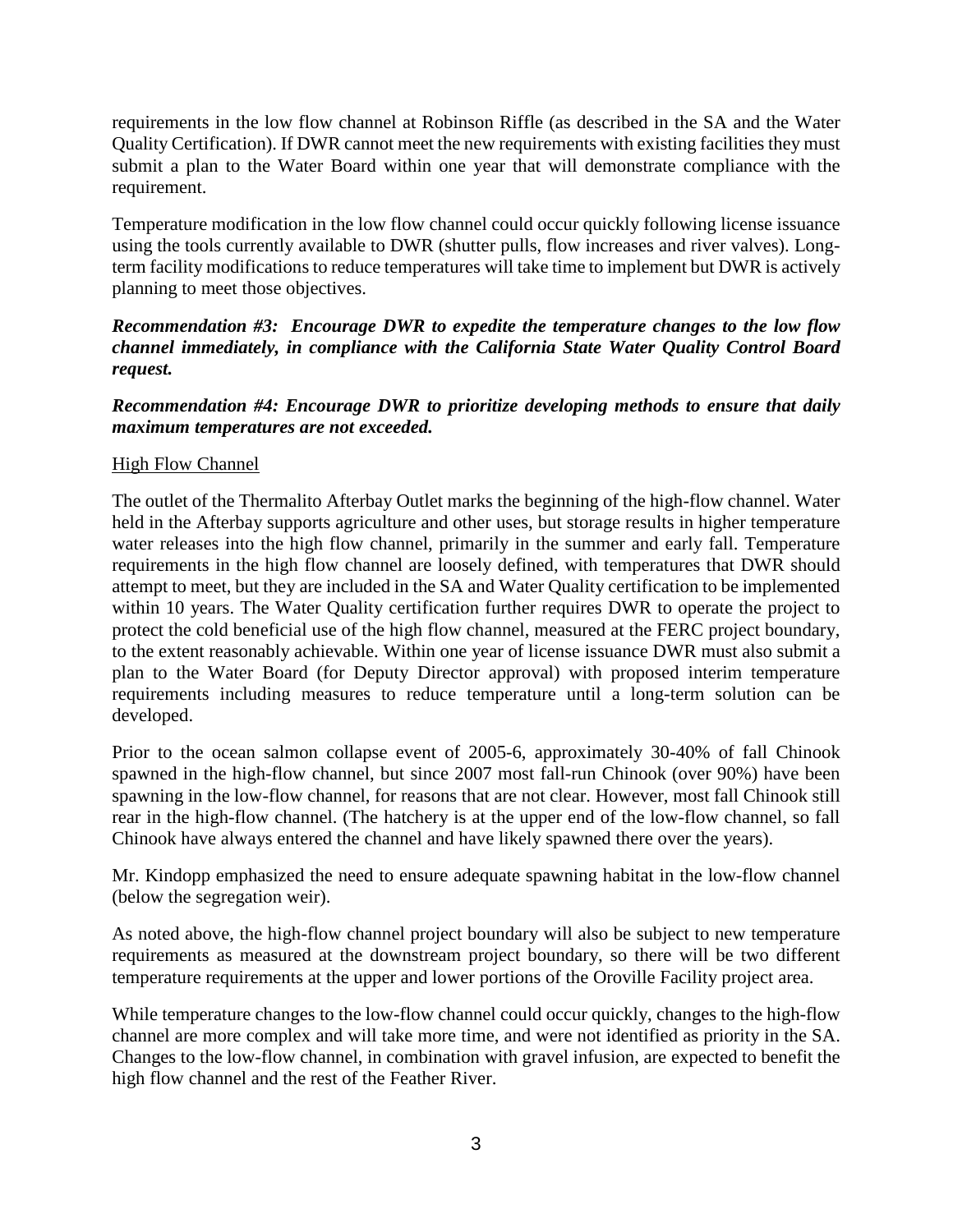requirements in the low flow channel at Robinson Riffle (as described in the SA and the Water Quality Certification). If DWR cannot meet the new requirements with existing facilities they must submit a plan to the Water Board within one year that will demonstrate compliance with the requirement.

Temperature modification in the low flow channel could occur quickly following license issuance using the tools currently available to DWR (shutter pulls, flow increases and river valves). Longterm facility modifications to reduce temperatures will take time to implement but DWR is actively planning to meet those objectives.

# *Recommendation #3: Encourage DWR to expedite the temperature changes to the low flow channel immediately, in compliance with the California State Water Quality Control Board request.*

## *Recommendation #4: Encourage DWR to prioritize developing methods to ensure that daily maximum temperatures are not exceeded.*

### **High Flow Channel**

The outlet of the Thermalito Afterbay Outlet marks the beginning of the high-flow channel. Water held in the Afterbay supports agriculture and other uses, but storage results in higher temperature water releases into the high flow channel, primarily in the summer and early fall. Temperature requirements in the high flow channel are loosely defined, with temperatures that DWR should attempt to meet, but they are included in the SA and Water Quality certification to be implemented within 10 years. The Water Quality certification further requires DWR to operate the project to protect the cold beneficial use of the high flow channel, measured at the FERC project boundary, to the extent reasonably achievable. Within one year of license issuance DWR must also submit a plan to the Water Board (for Deputy Director approval) with proposed interim temperature requirements including measures to reduce temperature until a long-term solution can be developed.

Prior to the ocean salmon collapse event of 2005-6, approximately 30-40% of fall Chinook spawned in the high-flow channel, but since 2007 most fall-run Chinook (over 90%) have been spawning in the low-flow channel, for reasons that are not clear. However, most fall Chinook still rear in the high-flow channel. (The hatchery is at the upper end of the low-flow channel, so fall Chinook have always entered the channel and have likely spawned there over the years).

Mr. Kindopp emphasized the need to ensure adequate spawning habitat in the low-flow channel (below the segregation weir).

As noted above, the high-flow channel project boundary will also be subject to new temperature requirements as measured at the downstream project boundary, so there will be two different temperature requirements at the upper and lower portions of the Oroville Facility project area.

While temperature changes to the low-flow channel could occur quickly, changes to the high-flow channel are more complex and will take more time, and were not identified as priority in the SA. Changes to the low-flow channel, in combination with gravel infusion, are expected to benefit the high flow channel and the rest of the Feather River.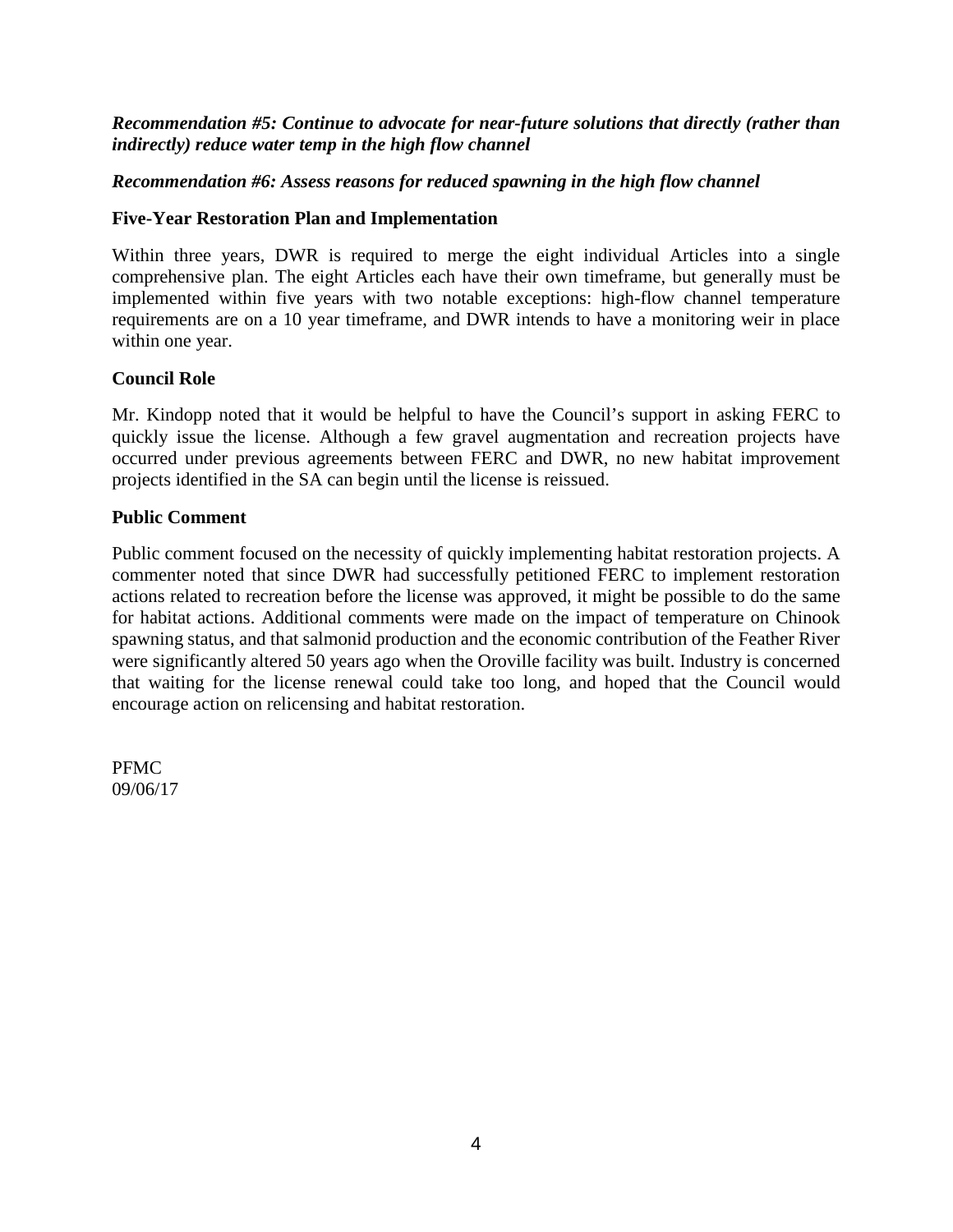# *Recommendation #5: Continue to advocate for near-future solutions that directly (rather than indirectly) reduce water temp in the high flow channel*

## *Recommendation #6: Assess reasons for reduced spawning in the high flow channel*

#### **Five-Year Restoration Plan and Implementation**

Within three years, DWR is required to merge the eight individual Articles into a single comprehensive plan. The eight Articles each have their own timeframe, but generally must be implemented within five years with two notable exceptions: high-flow channel temperature requirements are on a 10 year timeframe, and DWR intends to have a monitoring weir in place within one year.

#### **Council Role**

Mr. Kindopp noted that it would be helpful to have the Council's support in asking FERC to quickly issue the license. Although a few gravel augmentation and recreation projects have occurred under previous agreements between FERC and DWR, no new habitat improvement projects identified in the SA can begin until the license is reissued.

### **Public Comment**

Public comment focused on the necessity of quickly implementing habitat restoration projects. A commenter noted that since DWR had successfully petitioned FERC to implement restoration actions related to recreation before the license was approved, it might be possible to do the same for habitat actions. Additional comments were made on the impact of temperature on Chinook spawning status, and that salmonid production and the economic contribution of the Feather River were significantly altered 50 years ago when the Oroville facility was built. Industry is concerned that waiting for the license renewal could take too long, and hoped that the Council would encourage action on relicensing and habitat restoration.

PFMC 09/06/17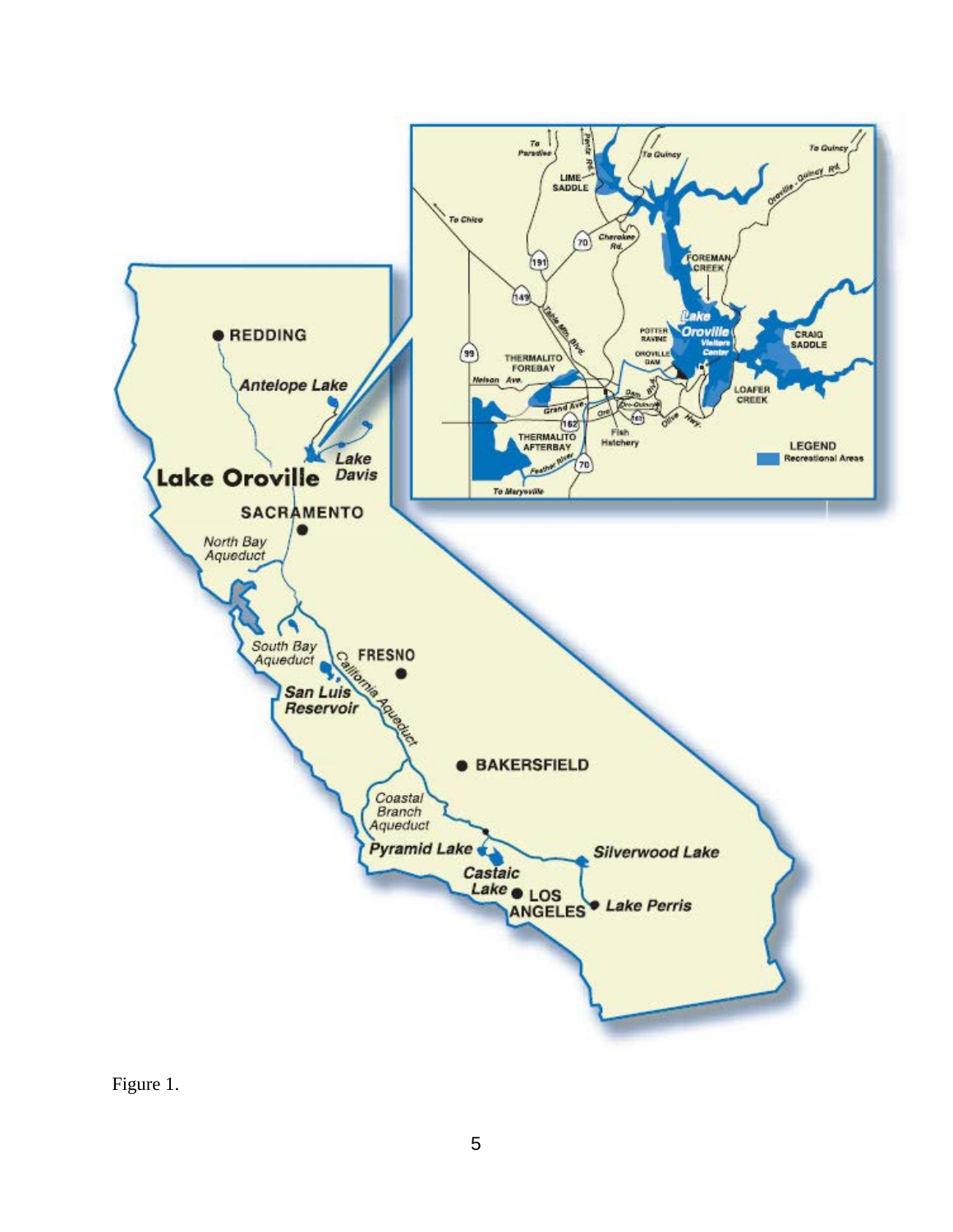

Figure 1.